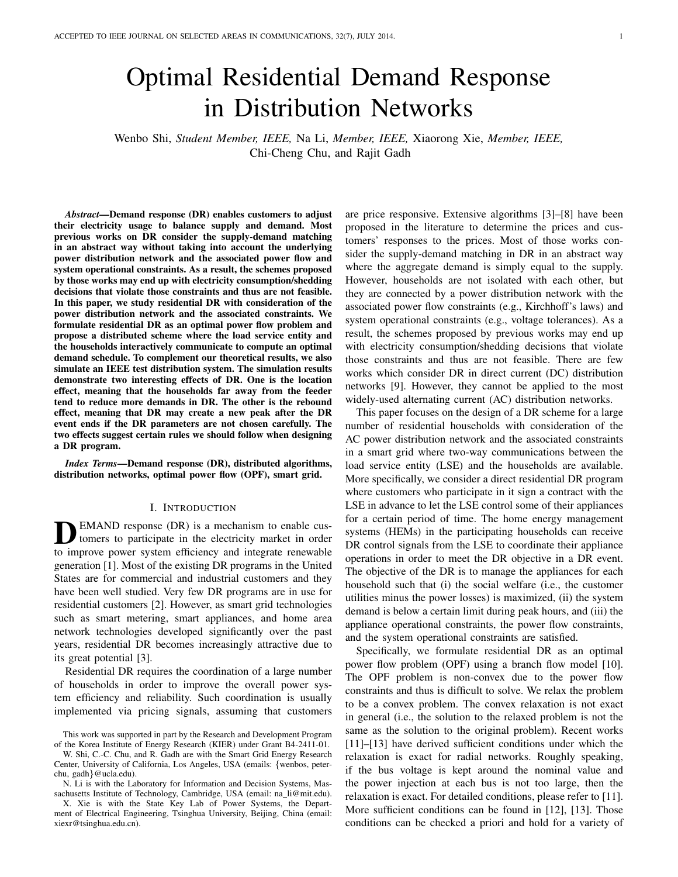# Optimal Residential Demand Response in Distribution Networks

Wenbo Shi, *Student Member, IEEE,* Na Li, *Member, IEEE,* Xiaorong Xie, *Member, IEEE,* Chi-Cheng Chu, and Rajit Gadh

*Abstract*—Demand response (DR) enables customers to adjust their electricity usage to balance supply and demand. Most previous works on DR consider the supply-demand matching in an abstract way without taking into account the underlying power distribution network and the associated power flow and system operational constraints. As a result, the schemes proposed by those works may end up with electricity consumption/shedding decisions that violate those constraints and thus are not feasible. In this paper, we study residential DR with consideration of the power distribution network and the associated constraints. We formulate residential DR as an optimal power flow problem and propose a distributed scheme where the load service entity and the households interactively communicate to compute an optimal demand schedule. To complement our theoretical results, we also simulate an IEEE test distribution system. The simulation results demonstrate two interesting effects of DR. One is the location effect, meaning that the households far away from the feeder tend to reduce more demands in DR. The other is the rebound effect, meaning that DR may create a new peak after the DR event ends if the DR parameters are not chosen carefully. The two effects suggest certain rules we should follow when designing a DR program.

*Index Terms*—Demand response (DR), distributed algorithms, distribution networks, optimal power flow (OPF), smart grid.

# I. INTRODUCTION

**D** EMAND response (DR) is a mechanism to enable cus-<br>tomers to participate in the electricity market in order EMAND response (DR) is a mechanism to enable custo improve power system efficiency and integrate renewable generation [1]. Most of the existing DR programs in the United States are for commercial and industrial customers and they have been well studied. Very few DR programs are in use for residential customers [2]. However, as smart grid technologies such as smart metering, smart appliances, and home area network technologies developed significantly over the past years, residential DR becomes increasingly attractive due to its great potential [3].

Residential DR requires the coordination of a large number of households in order to improve the overall power system efficiency and reliability. Such coordination is usually implemented via pricing signals, assuming that customers are price responsive. Extensive algorithms [3]–[8] have been proposed in the literature to determine the prices and customers' responses to the prices. Most of those works consider the supply-demand matching in DR in an abstract way where the aggregate demand is simply equal to the supply. However, households are not isolated with each other, but they are connected by a power distribution network with the associated power flow constraints (e.g., Kirchhoff's laws) and system operational constraints (e.g., voltage tolerances). As a result, the schemes proposed by previous works may end up with electricity consumption/shedding decisions that violate those constraints and thus are not feasible. There are few works which consider DR in direct current (DC) distribution networks [9]. However, they cannot be applied to the most widely-used alternating current (AC) distribution networks.

This paper focuses on the design of a DR scheme for a large number of residential households with consideration of the AC power distribution network and the associated constraints in a smart grid where two-way communications between the load service entity (LSE) and the households are available. More specifically, we consider a direct residential DR program where customers who participate in it sign a contract with the LSE in advance to let the LSE control some of their appliances for a certain period of time. The home energy management systems (HEMs) in the participating households can receive DR control signals from the LSE to coordinate their appliance operations in order to meet the DR objective in a DR event. The objective of the DR is to manage the appliances for each household such that (i) the social welfare (i.e., the customer utilities minus the power losses) is maximized, (ii) the system demand is below a certain limit during peak hours, and (iii) the appliance operational constraints, the power flow constraints, and the system operational constraints are satisfied.

Specifically, we formulate residential DR as an optimal power flow problem (OPF) using a branch flow model [10]. The OPF problem is non-convex due to the power flow constraints and thus is difficult to solve. We relax the problem to be a convex problem. The convex relaxation is not exact in general (i.e., the solution to the relaxed problem is not the same as the solution to the original problem). Recent works [11]–[13] have derived sufficient conditions under which the relaxation is exact for radial networks. Roughly speaking, if the bus voltage is kept around the nominal value and the power injection at each bus is not too large, then the relaxation is exact. For detailed conditions, please refer to [11]. More sufficient conditions can be found in [12], [13]. Those conditions can be checked a priori and hold for a variety of

This work was supported in part by the Research and Development Program of the Korea Institute of Energy Research (KIER) under Grant B4-2411-01.

W. Shi, C.-C. Chu, and R. Gadh are with the Smart Grid Energy Research Center, University of California, Los Angeles, USA (emails: {wenbos, peterchu, gadh}@ucla.edu).

N. Li is with the Laboratory for Information and Decision Systems, Massachusetts Institute of Technology, Cambridge, USA (email: na\_li@mit.edu). X. Xie is with the State Key Lab of Power Systems, the Department of Electrical Engineering, Tsinghua University, Beijing, China (email: xiexr@tsinghua.edu.cn).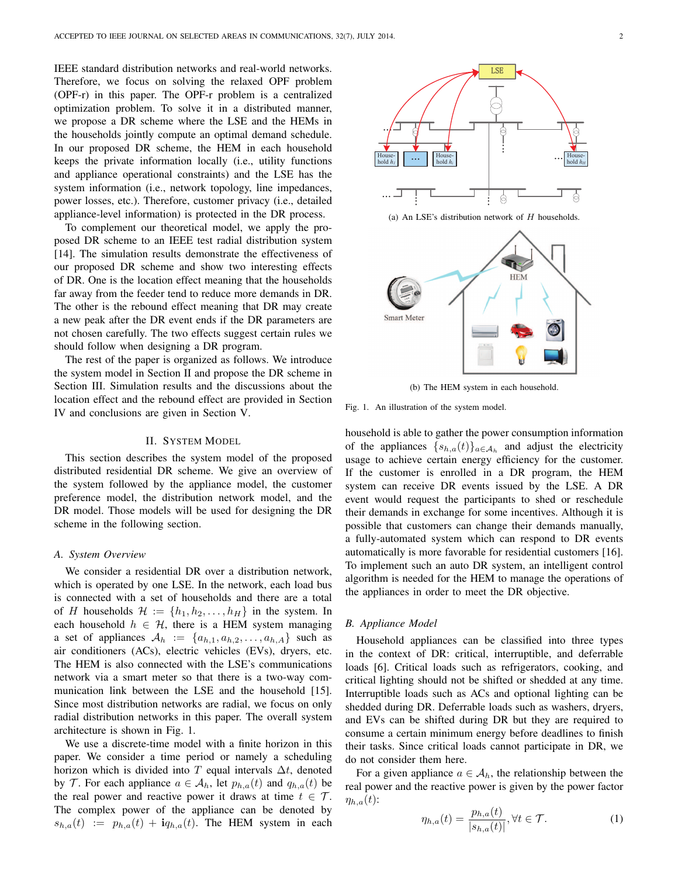IEEE standard distribution networks and real-world networks. Therefore, we focus on solving the relaxed OPF problem (OPF-r) in this paper. The OPF-r problem is a centralized optimization problem. To solve it in a distributed manner, we propose a DR scheme where the LSE and the HEMs in the households jointly compute an optimal demand schedule. In our proposed DR scheme, the HEM in each household keeps the private information locally (i.e., utility functions and appliance operational constraints) and the LSE has the system information (i.e., network topology, line impedances, power losses, etc.). Therefore, customer privacy (i.e., detailed appliance-level information) is protected in the DR process.

To complement our theoretical model, we apply the proposed DR scheme to an IEEE test radial distribution system [14]. The simulation results demonstrate the effectiveness of our proposed DR scheme and show two interesting effects of DR. One is the location effect meaning that the households far away from the feeder tend to reduce more demands in DR. The other is the rebound effect meaning that DR may create a new peak after the DR event ends if the DR parameters are not chosen carefully. The two effects suggest certain rules we should follow when designing a DR program.

The rest of the paper is organized as follows. We introduce the system model in Section II and propose the DR scheme in Section III. Simulation results and the discussions about the location effect and the rebound effect are provided in Section IV and conclusions are given in Section V.

## II. SYSTEM MODEL

This section describes the system model of the proposed distributed residential DR scheme. We give an overview of the system followed by the appliance model, the customer preference model, the distribution network model, and the DR model. Those models will be used for designing the DR scheme in the following section.

## *A. System Overview*

We consider a residential DR over a distribution network, which is operated by one LSE. In the network, each load bus is connected with a set of households and there are a total of H households  $\mathcal{H} := \{h_1, h_2, \ldots, h_H\}$  in the system. In each household  $h \in \mathcal{H}$ , there is a HEM system managing a set of appliances  $A_h := \{a_{h,1}, a_{h,2}, \ldots, a_{h,A}\}\$  such as air conditioners (ACs), electric vehicles (EVs), dryers, etc. The HEM is also connected with the LSE's communications network via a smart meter so that there is a two-way communication link between the LSE and the household [15]. Since most distribution networks are radial, we focus on only radial distribution networks in this paper. The overall system architecture is shown in Fig. 1.

We use a discrete-time model with a finite horizon in this paper. We consider a time period or namely a scheduling horizon which is divided into T equal intervals  $\Delta t$ , denoted by T. For each appliance  $a \in A_h$ , let  $p_{h,a}(t)$  and  $q_{h,a}(t)$  be the real power and reactive power it draws at time  $t \in \mathcal{T}$ . The complex power of the appliance can be denoted by  $s_{h,a}(t) := p_{h,a}(t) + \mathbf{i}q_{h,a}(t)$ . The HEM system in each



(a) An LSE's distribution network of  $H$  households.



(b) The HEM system in each household.

Fig. 1. An illustration of the system model.

household is able to gather the power consumption information of the appliances  $\{s_{h,a}(t)\}_{a \in A_h}$  and adjust the electricity usage to achieve certain energy efficiency for the customer. If the customer is enrolled in a DR program, the HEM system can receive DR events issued by the LSE. A DR event would request the participants to shed or reschedule their demands in exchange for some incentives. Although it is possible that customers can change their demands manually, a fully-automated system which can respond to DR events automatically is more favorable for residential customers [16]. To implement such an auto DR system, an intelligent control algorithm is needed for the HEM to manage the operations of the appliances in order to meet the DR objective.

## *B. Appliance Model*

Household appliances can be classified into three types in the context of DR: critical, interruptible, and deferrable loads [6]. Critical loads such as refrigerators, cooking, and critical lighting should not be shifted or shedded at any time. Interruptible loads such as ACs and optional lighting can be shedded during DR. Deferrable loads such as washers, dryers, and EVs can be shifted during DR but they are required to consume a certain minimum energy before deadlines to finish their tasks. Since critical loads cannot participate in DR, we do not consider them here.

For a given appliance  $a \in A_h$ , the relationship between the real power and the reactive power is given by the power factor  $\eta_{h,a}(t)$ :

$$
\eta_{h,a}(t) = \frac{p_{h,a}(t)}{|s_{h,a}(t)|}, \forall t \in \mathcal{T}.\tag{1}
$$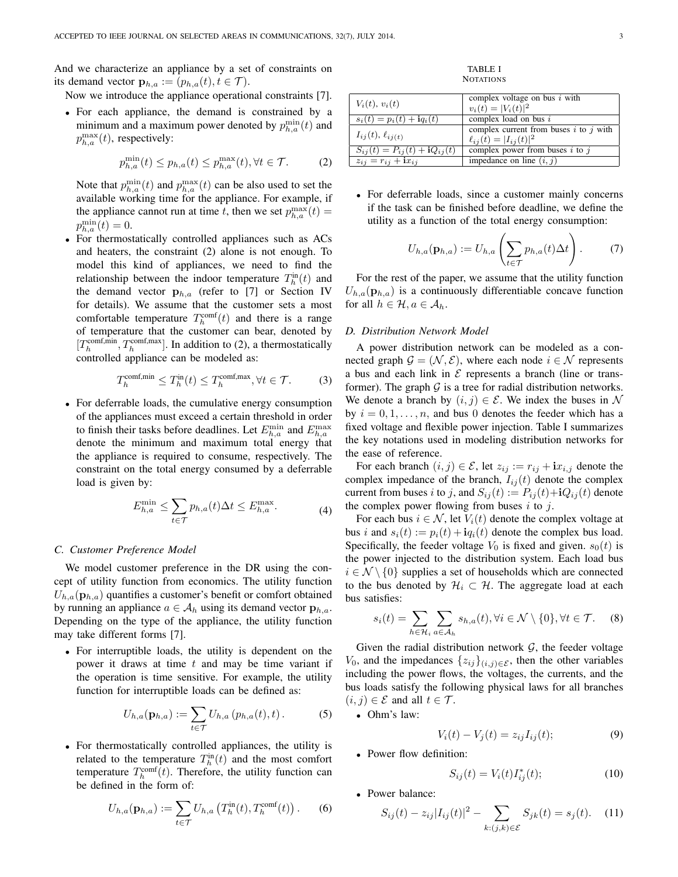And we characterize an appliance by a set of constraints on its demand vector  $\mathbf{p}_{h,a} := (p_{h,a}(t), t \in \mathcal{T}).$ 

Now we introduce the appliance operational constraints [7].

• For each appliance, the demand is constrained by a minimum and a maximum power denoted by  $p_{h,a}^{\min}(t)$  and  $p_{h,a}^{\max}(t)$ , respectively:

$$
p_{h,a}^{\min}(t) \le p_{h,a}(t) \le p_{h,a}^{\max}(t), \forall t \in \mathcal{T}.
$$
 (2)

Note that  $p_{h,a}^{\min}(t)$  and  $p_{h,a}^{\max}(t)$  can be also used to set the available working time for the appliance. For example, if the appliance cannot run at time t, then we set  $p_{h,a}^{\max}(t) =$  $p_{h,a}^{\min}(t)=0.$ 

• For thermostatically controlled appliances such as ACs and heaters, the constraint (2) alone is not enough. To model this kind of appliances, we need to find the relationship between the indoor temperature  $T_h^{\text{in}}(t)$  and the demand vector  $\mathbf{p}_{h,a}$  (refer to [7] or Section IV for details). We assume that the customer sets a most comfortable temperature  $T_h^{\text{comf}}(t)$  and there is a range of temperature that the customer can bear, denoted by  $[T_h^{\text{comf},\text{min}}, T_h^{\text{comf},\text{max}}]$ . In addition to (2), a thermostatically controlled appliance can be modeled as:

$$
T_h^{\text{comf,min}} \le T_h^{\text{in}}(t) \le T_h^{\text{comf,max}}, \forall t \in \mathcal{T}.
$$
 (3)

• For deferrable loads, the cumulative energy consumption of the appliances must exceed a certain threshold in order to finish their tasks before deadlines. Let  $E_{h,a}^{\min}$  and  $E_{h,a}^{\max}$ denote the minimum and maximum total energy that the appliance is required to consume, respectively. The constraint on the total energy consumed by a deferrable load is given by:

$$
E_{h,a}^{\min} \le \sum_{t \in \mathcal{T}} p_{h,a}(t) \Delta t \le E_{h,a}^{\max}.
$$
 (4)

# *C. Customer Preference Model*

We model customer preference in the DR using the concept of utility function from economics. The utility function  $U_{h,a}(\mathbf{p}_{h,a})$  quantifies a customer's benefit or comfort obtained by running an appliance  $a \in A_h$  using its demand vector  $\mathbf{p}_{h,a}$ . Depending on the type of the appliance, the utility function may take different forms [7].

• For interruptible loads, the utility is dependent on the power it draws at time  $t$  and may be time variant if the operation is time sensitive. For example, the utility function for interruptible loads can be defined as:

$$
U_{h,a}(\mathbf{p}_{h,a}) := \sum_{t \in \mathcal{T}} U_{h,a} (p_{h,a}(t), t).
$$
 (5)

• For thermostatically controlled appliances, the utility is related to the temperature  $T_h^{\text{in}}(t)$  and the most comfort temperature  $T_h^{\text{comf}}(t)$ . Therefore, the utility function can be defined in the form of:

$$
U_{h,a}(\mathbf{p}_{h,a}) := \sum_{t \in \mathcal{T}} U_{h,a} \left( T_h^{\text{in}}(t), T_h^{\text{comf}}(t) \right). \tag{6}
$$

TABLE I **NOTATIONS** 

| $V_i(t), v_i(t)$                     | complex voltage on bus $i$ with            |
|--------------------------------------|--------------------------------------------|
|                                      | $v_i(t) =  V_i(t) ^2$                      |
| $s_i(t) = p_i(t) + iq_i(t)$          | complex load on bus $i$                    |
| $I_{ij}(t)$ , $\ell_{ij}(t)$         | complex current from buses $i$ to $j$ with |
|                                      | $\ell_{ij}(t) =  I_{ij}(t) ^2$             |
| $S_{ij}(t) = P_{ij}(t) + iQ_{ij}(t)$ | complex power from buses $i$ to $j$        |
| $z_{ij} = r_{ij} + \mathbf{i}x_{ij}$ | impedance on line $(i, j)$                 |

• For deferrable loads, since a customer mainly concerns if the task can be finished before deadline, we define the utility as a function of the total energy consumption:

$$
U_{h,a}(\mathbf{p}_{h,a}) := U_{h,a}\left(\sum_{t \in \mathcal{T}} p_{h,a}(t)\Delta t\right). \tag{7}
$$

For the rest of the paper, we assume that the utility function  $U_{h,a}(\mathbf{p}_{h,a})$  is a continuously differentiable concave function for all  $h \in \mathcal{H}$ ,  $a \in \mathcal{A}_h$ .

# *D. Distribution Network Model*

A power distribution network can be modeled as a connected graph  $\mathcal{G} = (\mathcal{N}, \mathcal{E})$ , where each node  $i \in \mathcal{N}$  represents a bus and each link in  $\mathcal E$  represents a branch (line or transformer). The graph  $G$  is a tree for radial distribution networks. We denote a branch by  $(i, j) \in \mathcal{E}$ . We index the buses in N by  $i = 0, 1, \ldots, n$ , and bus 0 denotes the feeder which has a fixed voltage and flexible power injection. Table I summarizes the key notations used in modeling distribution networks for the ease of reference.

For each branch  $(i, j) \in \mathcal{E}$ , let  $z_{ij} := r_{ij} + \mathbf{i}x_{i,j}$  denote the complex impedance of the branch,  $I_{ij}(t)$  denote the complex current from buses i to j, and  $S_{ij}(t) := P_{ij}(t) + iQ_{ij}(t)$  denote the complex power flowing from buses  $i$  to  $j$ .

For each bus  $i \in \mathcal{N}$ , let  $V_i(t)$  denote the complex voltage at bus i and  $s_i(t) := p_i(t) + i q_i(t)$  denote the complex bus load. Specifically, the feeder voltage  $V_0$  is fixed and given.  $s_0(t)$  is the power injected to the distribution system. Each load bus  $i \in \mathcal{N} \setminus \{0\}$  supplies a set of households which are connected to the bus denoted by  $\mathcal{H}_i \subset \mathcal{H}$ . The aggregate load at each bus satisfies:

$$
s_i(t) = \sum_{h \in \mathcal{H}_i} \sum_{a \in \mathcal{A}_h} s_{h,a}(t), \forall i \in \mathcal{N} \setminus \{0\}, \forall t \in \mathcal{T}.
$$
 (8)

Given the radial distribution network  $G$ , the feeder voltage  $V_0$ , and the impedances  $\{z_{ij}\}_{(i,j)\in\mathcal{E}}$ , then the other variables including the power flows, the voltages, the currents, and the bus loads satisfy the following physical laws for all branches  $(i, j) \in \mathcal{E}$  and all  $t \in \mathcal{T}$ .

- Ohm's law:
- $V_i(t) V_j(t) = z_{ij} I_{ij}(t);$  (9)
- Power flow definition:

$$
S_{ij}(t) = V_i(t)I_{ij}^*(t); \t\t(10)
$$

• Power balance:

$$
S_{ij}(t) - z_{ij}|I_{ij}(t)|^2 - \sum_{k:(j,k)\in\mathcal{E}} S_{jk}(t) = s_j(t). \quad (11)
$$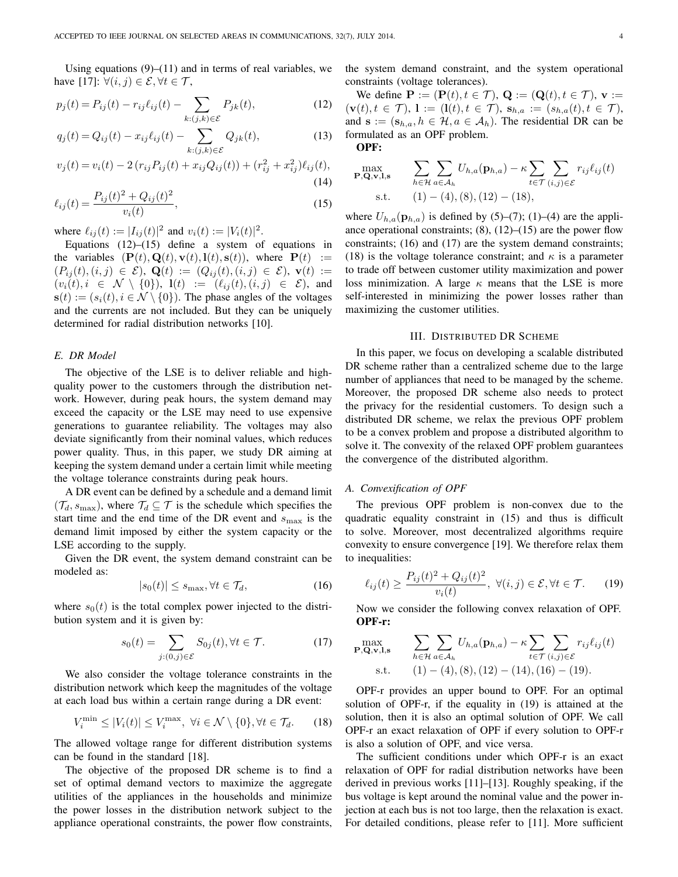Using equations  $(9)$ – $(11)$  and in terms of real variables, we have [17]:  $\forall (i, j) \in \mathcal{E}, \forall t \in \mathcal{T}$ ,

$$
p_j(t) = P_{ij}(t) - r_{ij}\ell_{ij}(t) - \sum_{k:(j,k)\in\mathcal{E}} P_{jk}(t),
$$
\n(12)

$$
q_j(t) = Q_{ij}(t) - x_{ij}\ell_{ij}(t) - \sum_{k:(j,k)\in\mathcal{E}} Q_{jk}(t),
$$
\n(13)

$$
v_j(t) = v_i(t) - 2(r_{ij}P_{ij}(t) + x_{ij}Q_{ij}(t)) + (r_{ij}^2 + x_{ij}^2)\ell_{ij}(t),
$$
\n(14)

$$
\ell_{ij}(t) = \frac{P_{ij}(t)^2 + Q_{ij}(t)^2}{v_i(t)},
$$
\n(15)

where  $\ell_{ij}(t) := |I_{ij}(t)|^2$  and  $v_i(t) := |V_i(t)|^2$ .

Equations  $(12)$ – $(15)$  define a system of equations in the variables  $(\mathbf{P}(t), \mathbf{Q}(t), \mathbf{v}(t), \mathbf{l}(t), \mathbf{s}(t))$ , where  $\mathbf{P}(t) :=$  $(P_{ij}(t), (i, j) \in \mathcal{E}), \mathbf{Q}(t) := (Q_{ij}(t), (i, j) \in \mathcal{E}), \mathbf{v}(t) :=$  $(v_i(t), i \in \mathcal{N} \setminus \{0\}),$   $\mathbf{l}(t) := (\ell_{ij}(t), (i, j) \in \mathcal{E})$ , and  $s(t) := (s_i(t), i \in \mathcal{N} \setminus \{0\})$ . The phase angles of the voltages and the currents are not included. But they can be uniquely determined for radial distribution networks [10].

# *E. DR Model*

The objective of the LSE is to deliver reliable and highquality power to the customers through the distribution network. However, during peak hours, the system demand may exceed the capacity or the LSE may need to use expensive generations to guarantee reliability. The voltages may also deviate significantly from their nominal values, which reduces power quality. Thus, in this paper, we study DR aiming at keeping the system demand under a certain limit while meeting the voltage tolerance constraints during peak hours.

A DR event can be defined by a schedule and a demand limit  $(\mathcal{T}_d, s_{\text{max}})$ , where  $\mathcal{T}_d \subseteq \mathcal{T}$  is the schedule which specifies the start time and the end time of the DR event and  $s_{\text{max}}$  is the demand limit imposed by either the system capacity or the LSE according to the supply.

Given the DR event, the system demand constraint can be modeled as:

$$
|s_0(t)| \le s_{\text{max}}, \forall t \in \mathcal{T}_d,\tag{16}
$$

where  $s_0(t)$  is the total complex power injected to the distribution system and it is given by:

$$
s_0(t) = \sum_{j:(0,j)\in\mathcal{E}} S_{0j}(t), \forall t \in \mathcal{T}.
$$
 (17)

We also consider the voltage tolerance constraints in the distribution network which keep the magnitudes of the voltage at each load bus within a certain range during a DR event:

$$
V_i^{\min} \le |V_i(t)| \le V_i^{\max}, \ \forall i \in \mathcal{N} \setminus \{0\}, \forall t \in \mathcal{T}_d. \tag{18}
$$

The allowed voltage range for different distribution systems can be found in the standard [18].

The objective of the proposed DR scheme is to find a set of optimal demand vectors to maximize the aggregate utilities of the appliances in the households and minimize the power losses in the distribution network subject to the appliance operational constraints, the power flow constraints, the system demand constraint, and the system operational constraints (voltage tolerances).

We define  $\mathbf{P} := (\mathbf{P}(t), t \in \mathcal{T}), \mathbf{Q} := (\mathbf{Q}(t), t \in \mathcal{T}), \mathbf{v} :=$  $(\mathbf{v}(t), t \in \mathcal{T}), \mathbf{1} := (\mathbf{l}(t), t \in \mathcal{T}), \mathbf{s}_{h,a} := (s_{h,a}(t), t \in \mathcal{T}),$ and  $\mathbf{s} := (\mathbf{s}_{h,a}, h \in \mathcal{H}, a \in \mathcal{A}_h)$ . The residential DR can be formulated as an OPF problem. OPF:

$$
\max_{\mathbf{P},\mathbf{Q},\mathbf{v},\mathbf{l},\mathbf{s}} \qquad \sum_{h\in\mathcal{H}} \sum_{a\in\mathcal{A}_h} U_{h,a}(\mathbf{p}_{h,a}) - \kappa \sum_{t\in\mathcal{T}} \sum_{(i,j)\in\mathcal{E}} r_{ij}\ell_{ij}(t)
$$
\n
$$
\text{s.t.} \qquad (1) - (4), (8), (12) - (18),
$$

where  $U_{h,a}(\mathbf{p}_{h,a})$  is defined by (5)–(7); (1)–(4) are the appliance operational constraints;  $(8)$ ,  $(12)$ – $(15)$  are the power flow constraints; (16) and (17) are the system demand constraints; (18) is the voltage tolerance constraint; and  $\kappa$  is a parameter to trade off between customer utility maximization and power loss minimization. A large  $\kappa$  means that the LSE is more self-interested in minimizing the power losses rather than maximizing the customer utilities.

## III. DISTRIBUTED DR SCHEME

In this paper, we focus on developing a scalable distributed DR scheme rather than a centralized scheme due to the large number of appliances that need to be managed by the scheme. Moreover, the proposed DR scheme also needs to protect the privacy for the residential customers. To design such a distributed DR scheme, we relax the previous OPF problem to be a convex problem and propose a distributed algorithm to solve it. The convexity of the relaxed OPF problem guarantees the convergence of the distributed algorithm.

## *A. Convexification of OPF*

The previous OPF problem is non-convex due to the quadratic equality constraint in (15) and thus is difficult to solve. Moreover, most decentralized algorithms require convexity to ensure convergence [19]. We therefore relax them to inequalities:

$$
\ell_{ij}(t) \ge \frac{P_{ij}(t)^2 + Q_{ij}(t)^2}{v_i(t)}, \ \forall (i, j) \in \mathcal{E}, \forall t \in \mathcal{T}.
$$
 (19)

Now we consider the following convex relaxation of OPF. OPF-r:

$$
\max_{\mathbf{P},\mathbf{Q},\mathbf{v},\mathbf{l},\mathbf{s}} \quad \sum_{h \in \mathcal{H}} \sum_{a \in \mathcal{A}_h} U_{h,a}(\mathbf{p}_{h,a}) - \kappa \sum_{t \in \mathcal{T}} \sum_{(i,j) \in \mathcal{E}} r_{ij} \ell_{ij}(t)
$$
\n
$$
\text{s.t.} \quad (1) - (4), (8), (12) - (14), (16) - (19).
$$

OPF-r provides an upper bound to OPF. For an optimal solution of OPF-r, if the equality in (19) is attained at the solution, then it is also an optimal solution of OPF. We call OPF-r an exact relaxation of OPF if every solution to OPF-r is also a solution of OPF, and vice versa.

The sufficient conditions under which OPF-r is an exact relaxation of OPF for radial distribution networks have been derived in previous works [11]–[13]. Roughly speaking, if the bus voltage is kept around the nominal value and the power injection at each bus is not too large, then the relaxation is exact. For detailed conditions, please refer to [11]. More sufficient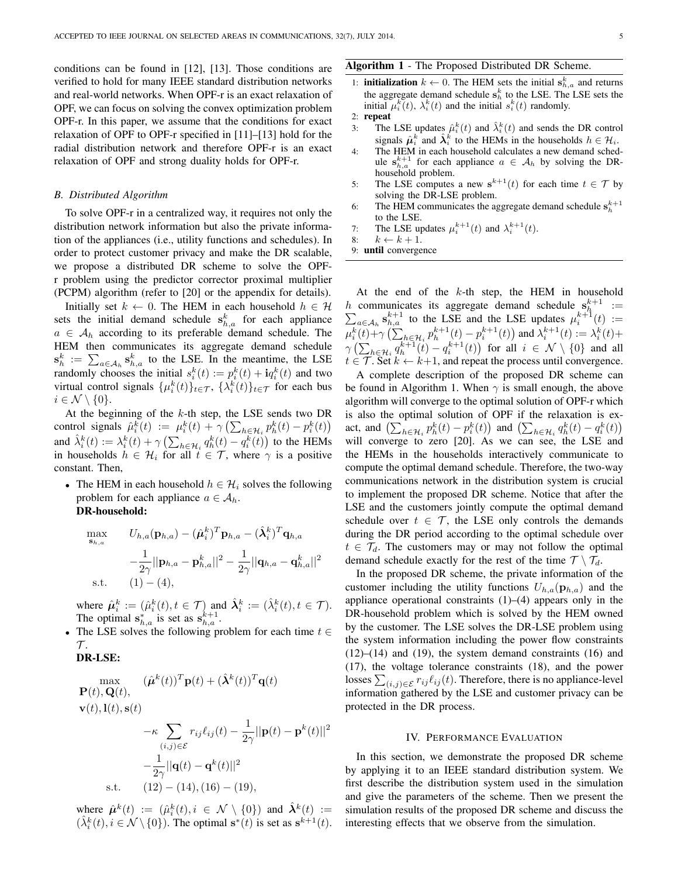conditions can be found in [12], [13]. Those conditions are verified to hold for many IEEE standard distribution networks and real-world networks. When OPF-r is an exact relaxation of OPF, we can focus on solving the convex optimization problem OPF-r. In this paper, we assume that the conditions for exact relaxation of OPF to OPF-r specified in [11]–[13] hold for the radial distribution network and therefore OPF-r is an exact relaxation of OPF and strong duality holds for OPF-r.

## *B. Distributed Algorithm*

To solve OPF-r in a centralized way, it requires not only the distribution network information but also the private information of the appliances (i.e., utility functions and schedules). In order to protect customer privacy and make the DR scalable, we propose a distributed DR scheme to solve the OPFr problem using the predictor corrector proximal multiplier (PCPM) algorithm (refer to [20] or the appendix for details).

Initially set  $k \leftarrow 0$ . The HEM in each household  $h \in \mathcal{H}$ sets the initial demand schedule  $s_{h,a}^k$  for each appliance  $a \in A_h$  according to its preferable demand schedule. The HEM then communicates its aggregate demand schedule  $\mathbf{s}_h^k := \sum_{a \in A_h} \mathbf{s}_{h,a}^k$  to the LSE. In the meantime, the LSE randomly chooses the initial  $s_i^k(t) := p_i^k(t) + i q_i^k(t)$  and two virtual control signals  $\{\mu_i^k(t)\}_{t \in \mathcal{T}}$ ,  $\{\lambda_i^k(t)\}_{t \in \mathcal{T}}$  for each bus  $i \in \mathcal{N} \setminus \{0\}.$ 

At the beginning of the  $k$ -th step, the LSE sends two DR control signals  $\hat{\mu}_i^k(t) := \mu_i^k(t) + \gamma \left( \sum_{h \in \mathcal{H}_i} p_h^k(t) - p_i^k(t) \right)$ and  $\hat{\lambda}_i^k(t) := \lambda_i^k(t) + \gamma \left( \sum_{h \in \mathcal{H}_i} q_h^k(t) - q_i^k(t) \right)$  to the HEMs in households  $h \in \mathcal{H}_i$  for all  $t \in \mathcal{T}$ , where  $\gamma$  is a positive constant. Then,

• The HEM in each household  $h \in \mathcal{H}_i$  solves the following problem for each appliance  $a \in A_h$ . DR-household:

$$
\max_{\mathbf{s}_{h,a}} \qquad U_{h,a}(\mathbf{p}_{h,a}) - (\hat{\boldsymbol{\mu}}_i^k)^T \mathbf{p}_{h,a} - (\hat{\boldsymbol{\lambda}}_i^k)^T \mathbf{q}_{h,a} \n- \frac{1}{2\gamma} ||\mathbf{p}_{h,a} - \mathbf{p}_{h,a}^k||^2 - \frac{1}{2\gamma} ||\mathbf{q}_{h,a} - \mathbf{q}_{h,a}^k||^2 \n\text{s.t.} \qquad (1) - (4),
$$

where  $\hat{\mu}_i^k := (\hat{\mu}_i^k(t), t \in \mathcal{T})$  and  $\hat{\lambda}_i^k := (\hat{\lambda}_i^k(t), t \in \mathcal{T})$ . The optimal  $s_{h,a}^*$  is set as  $s_{h,a}^{k+1}$ .

The LSE solves the following problem for each time  $t \in$  $\mathcal{T}.$ 

# DR-LSE:

$$
\max_{\mathbf{P}(t), \mathbf{Q}(t), \quad (\hat{\boldsymbol{\mu}}^k(t))^T \mathbf{p}(t) + (\hat{\boldsymbol{\lambda}}^k(t))^T \mathbf{q}(t)
$$
\n
$$
\mathbf{v}(t), \mathbf{l}(t), \mathbf{s}(t)
$$
\n
$$
-\kappa \sum_{(i,j) \in \mathcal{E}} r_{ij} \ell_{ij}(t) - \frac{1}{2\gamma} ||\mathbf{p}(t) - \mathbf{p}^k(t)||^2
$$
\n
$$
-\frac{1}{2\gamma} ||\mathbf{q}(t) - \mathbf{q}^k(t)||^2
$$
\n
$$
\text{s.t.} \quad (12) - (14), (16) - (19),
$$

where  $\hat{\mu}^k(t) := (\hat{\mu}_i^k(t), i \in \mathcal{N} \setminus \{0\})$  and  $\hat{\lambda}^k(t) :=$  $(\hat{\lambda}_i^k(t), i \in \mathcal{N} \setminus \{0\})$ . The optimal  $\mathbf{s}^*(t)$  is set as  $\mathbf{s}^{k+1}(t)$ .

## Algorithm 1 - The Proposed Distributed DR Scheme.

- 1: **initialization**  $k \leftarrow 0$ . The HEM sets the initial  $s_{h,a}^k$  and returns the aggregate demand schedule  $s_h^k$  to the LSE. The LSE sets the initial  $\mu_i^k(t)$ ,  $\lambda_i^k(t)$  and the initial  $s_i^k(t)$  randomly.
- 2: repeat
- 3: The LSE updates  $\hat{\mu}_i^k(t)$  and  $\hat{\lambda}_i^k(t)$  and sends the DR control signals  $\hat{\mu}_i^k$  and  $\hat{\lambda}_i^k$  to the HEMs in the households  $h \in \mathcal{H}_i$ .
- 4: The HEM in each household calculates a new demand schedule  $s_{h,a}^{k+1}$  for each appliance  $a \in A_h$  by solving the DRhousehold problem.
- 5: The LSE computes a new  $s^{k+1}(t)$  for each time  $t \in \mathcal{T}$  by solving the DR-LSE problem.
- 6: The HEM communicates the aggregate demand schedule  $\mathbf{s}_h^{k+1}$ to the LSE.
- 7: The LSE updates  $\mu_i^{k+1}(t)$  and  $\lambda_i^{k+1}(t)$ .
- 8:  $k \leftarrow k + 1$ .
- 9: until convergence

At the end of the  $k$ -th step, the HEM in household h communicates its aggregate demand schedule  $s_h^{k+1} := \sum_{a \in A_h} s_{h,a}^{k+1}$  to the LSE and the LSE updates  $\mu_i^{k+1}(t) :=$  $\mu_i^k(t) + \gamma \left( \sum_{h \in \mathcal{H}_i} p_h^{k+1}(t) - p_i^{k+1}(t) \right)$  and  $\lambda_i^{k+1}(t) := \lambda_i^k(t) +$  $\gamma\left(\sum_{h\in\mathcal{H}_i}q_h^{k+1}(t)-q_i^{k+1}(t)\right)$  for all  $i\in\mathcal{N}\setminus\{0\}$  and all  $t \in \mathcal{T}$ . Set  $k \leftarrow k+1$ , and repeat the process until convergence.

A complete description of the proposed DR scheme can be found in Algorithm 1. When  $\gamma$  is small enough, the above algorithm will converge to the optimal solution of OPF-r which is also the optimal solution of OPF if the relaxation is exact, and  $\left(\sum_{h \in \mathcal{H}_i} p_h^k(t) - p_i^k(t)\right)$  and  $\left(\sum_{h \in \mathcal{H}_i} q_h^k(t) - q_i^k(t)\right)$ will converge to zero [20]. As we can see, the LSE and the HEMs in the households interactively communicate to compute the optimal demand schedule. Therefore, the two-way communications network in the distribution system is crucial to implement the proposed DR scheme. Notice that after the LSE and the customers jointly compute the optimal demand schedule over  $t \in \mathcal{T}$ , the LSE only controls the demands during the DR period according to the optimal schedule over  $t \in \mathcal{T}_d$ . The customers may or may not follow the optimal demand schedule exactly for the rest of the time  $\mathcal{T} \setminus \mathcal{T}_d$ .

In the proposed DR scheme, the private information of the customer including the utility functions  $U_{h,a}(\mathbf{p}_{h,a})$  and the appliance operational constraints  $(1)$ – $(4)$  appears only in the DR-household problem which is solved by the HEM owned by the customer. The LSE solves the DR-LSE problem using the system information including the power flow constraints  $(12)$ – $(14)$  and  $(19)$ , the system demand constraints  $(16)$  and (17), the voltage tolerance constraints (18), and the power losses  $\sum_{(i,j)\in \mathcal{E}} r_{ij} \ell_{ij}(t)$ . Therefore, there is no appliance-level information gathered by the LSE and customer privacy can be protected in the DR process.

# IV. PERFORMANCE EVALUATION

In this section, we demonstrate the proposed DR scheme by applying it to an IEEE standard distribution system. We first describe the distribution system used in the simulation and give the parameters of the scheme. Then we present the simulation results of the proposed DR scheme and discuss the interesting effects that we observe from the simulation.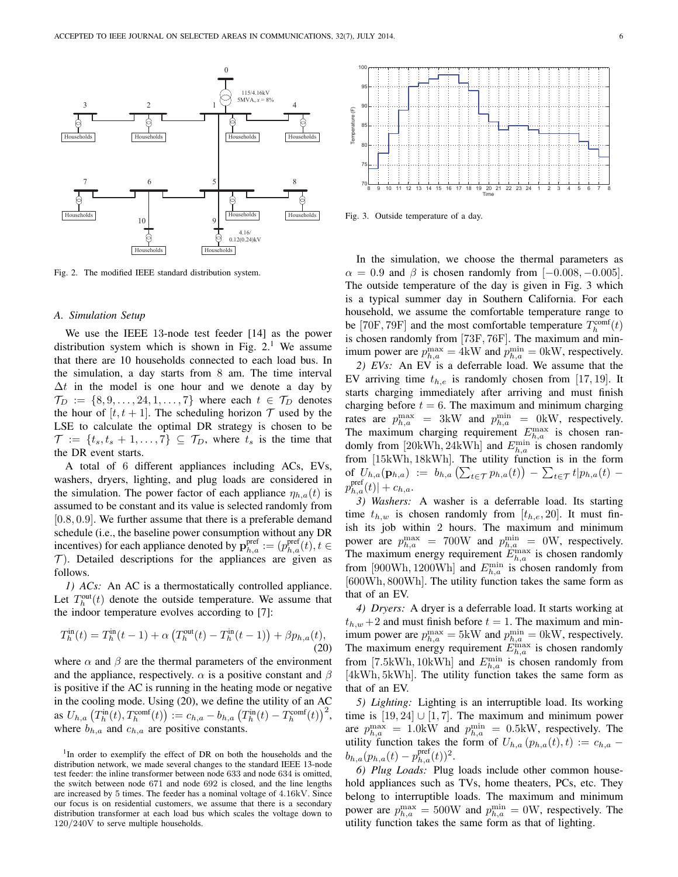

Fig. 2. The modified IEEE standard distribution system.

## *A. Simulation Setup*

We use the IEEE 13-node test feeder [14] as the power distribution system which is shown in Fig.  $2<sup>1</sup>$  We assume that there are 10 households connected to each load bus. In the simulation, a day starts from 8 am. The time interval  $\Delta t$  in the model is one hour and we denote a day by  $\mathcal{T}_D := \{8, 9, \ldots, 24, 1, \ldots, 7\}$  where each  $t \in \mathcal{T}_D$  denotes the hour of  $[t, t + 1]$ . The scheduling horizon  $T$  used by the LSE to calculate the optimal DR strategy is chosen to be  $\mathcal{T} := \{t_s, t_s + 1, \ldots, 7\} \subseteq \mathcal{T}_D$ , where  $t_s$  is the time that the DR event starts.

A total of 6 different appliances including ACs, EVs, washers, dryers, lighting, and plug loads are considered in the simulation. The power factor of each appliance  $\eta_{h,a}(t)$  is assumed to be constant and its value is selected randomly from [0.8, 0.9]. We further assume that there is a preferable demand schedule (i.e., the baseline power consumption without any DR incentives) for each appliance denoted by  $\mathbf{p}_{h,a}^{\text{pref}} := (p_{h,a}^{\text{pref}}(t), t \in$  $\mathcal T$ ). Detailed descriptions for the appliances are given as follows.

*1) ACs:* An AC is a thermostatically controlled appliance. Let  $T_h^{\text{out}}(t)$  denote the outside temperature. We assume that the indoor temperature evolves according to [7]:

$$
T_h^{\text{in}}(t) = T_h^{\text{in}}(t-1) + \alpha \left( T_h^{\text{out}}(t) - T_h^{\text{in}}(t-1) \right) + \beta p_{h,a}(t),
$$
\n(20)

where  $\alpha$  and  $\beta$  are the thermal parameters of the environment and the appliance, respectively.  $\alpha$  is a positive constant and  $\beta$ is positive if the AC is running in the heating mode or negative in the cooling mode. Using (20), we define the utility of an AC as  $U_{h,a}\left(T^{\text{in}}_h(t), T^{\text{comf}}_h(t)\right) := c_{h,a} - b_{h,a}\left(T^{\text{in}}_h(t) - T^{\text{comf}}_h(t)\right)^2$ , where  $b_{h,a}$  and  $c_{h,a}$  are positive constants.



Fig. 3. Outside temperature of a day.

In the simulation, we choose the thermal parameters as  $\alpha = 0.9$  and  $\beta$  is chosen randomly from [-0.008, -0.005]. The outside temperature of the day is given in Fig. 3 which is a typical summer day in Southern California. For each household, we assume the comfortable temperature range to be [70F, 79F] and the most comfortable temperature  $T_h^{\text{conf}}(t)$ is chosen randomly from [73F, 76F]. The maximum and minimum power are  $p_{h,a}^{\max} = 4kW$  and  $p_{h,a}^{\min} = 0kW$ , respectively. *2) EVs:* An EV is a deferrable load. We assume that the EV arriving time  $t_{h,e}$  is randomly chosen from [17, 19]. It starts charging immediately after arriving and must finish charging before  $t = 6$ . The maximum and minimum charging rates are  $p_{h,a}^{\max}$  = 3kW and  $p_{h,a}^{\min}$  = 0kW, respectively. The maximum charging requirement  $E_{h,a}^{\text{max}}$  is chosen randomly from [20kWh, 24kWh] and  $E_{h,a}^{\min}$  is chosen randomly from [15kWh, 18kWh]. The utility function is in the form of  $U_{h,a}(\mathbf{p}_{h,a}) := b_{h,a} \left( \sum_{t \in \mathcal{T}} p_{h,a}(t) \right) - \sum_{t \in \mathcal{T}} t | p_{h,a}(t)$  $p_{h,a}^{\text{pref}}(t)|+c_{h,a}.$ 

*3) Washers:* A washer is a deferrable load. Its starting time  $t_{h,w}$  is chosen randomly from  $[t_{h,e}, 20]$ . It must finish its job within 2 hours. The maximum and minimum power are  $p_{h,a}^{\max}$  = 700W and  $p_{h,a}^{\min}$  = 0W, respectively. The maximum energy requirement  $E_{h,a}^{\max}$  is chosen randomly from [900Wh, 1200Wh] and  $E_{h,a}^{\min}$  is chosen randomly from [600Wh, 800Wh]. The utility function takes the same form as that of an EV.

*4) Dryers:* A dryer is a deferrable load. It starts working at  $t_{h,w}$  +2 and must finish before  $t = 1$ . The maximum and minimum power are  $p_{h,a}^{\max} = 5 \text{kW}$  and  $p_{h,a}^{\min} = 0 \text{kW}$ , respectively. The maximum energy requirement  $E_{h,a}^{\text{max}}$  is chosen randomly from [7.5kWh, 10kWh] and  $E_{h,a}^{\min}$  is chosen randomly from [4kWh, 5kWh]. The utility function takes the same form as that of an EV.

*5) Lighting:* Lighting is an interruptible load. Its working time is  $[19, 24]$  ∪  $[1, 7]$ . The maximum and minimum power are  $p_{h,a}^{\max} = 1.0$ kW and  $p_{h,a}^{\min} = 0.5$ kW, respectively. The utility function takes the form of  $U_{h,a}(p_{h,a}(t), t) := c_{h,a}$  $b_{h,a}(p_{h,a}(t)-p_{h,a}^{\text{pref}}(t))^{2}.$ 

*6) Plug Loads:* Plug loads include other common household appliances such as TVs, home theaters, PCs, etc. They belong to interruptible loads. The maximum and minimum power are  $p_{h,a}^{\max} = 500W$  and  $p_{h,a}^{\min} = 0W$ , respectively. The utility function takes the same form as that of lighting.

<sup>&</sup>lt;sup>1</sup>In order to exemplify the effect of DR on both the households and the distribution network, we made several changes to the standard IEEE 13-node test feeder: the inline transformer between node 633 and node 634 is omitted, the switch between node 671 and node 692 is closed, and the line lengths are increased by 5 times. The feeder has a nominal voltage of 4.16kV. Since our focus is on residential customers, we assume that there is a secondary distribution transformer at each load bus which scales the voltage down to 120/240V to serve multiple households.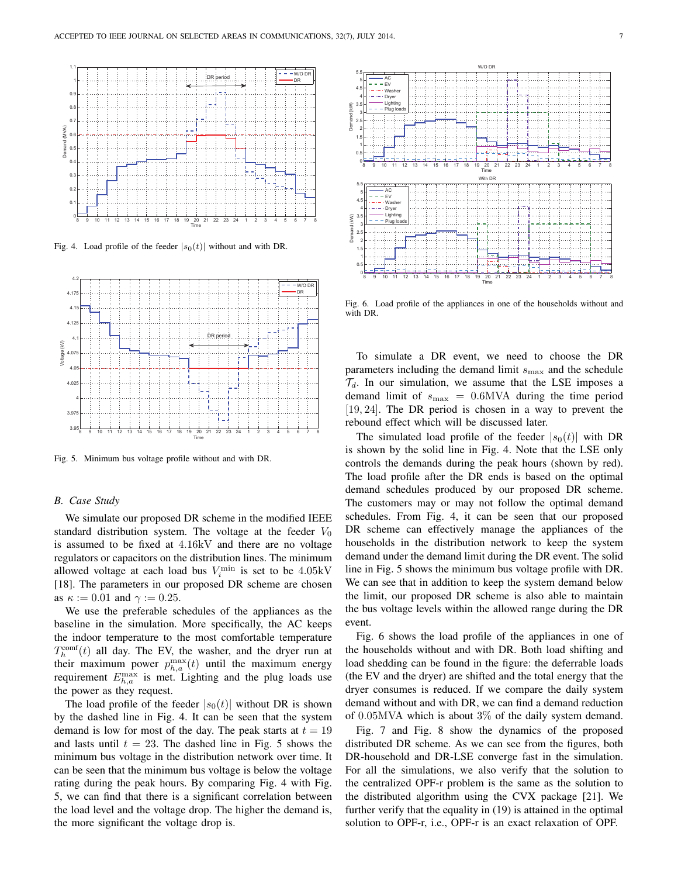

Fig. 4. Load profile of the feeder  $|s_0(t)|$  without and with DR.



Fig. 5. Minimum bus voltage profile without and with DR.

# *B. Case Study*

We simulate our proposed DR scheme in the modified IEEE standard distribution system. The voltage at the feeder  $V_0$ is assumed to be fixed at 4.16kV and there are no voltage regulators or capacitors on the distribution lines. The minimum allowed voltage at each load bus  $V_i^{\text{min}}$  is set to be 4.05kV [18]. The parameters in our proposed DR scheme are chosen as  $\kappa := 0.01$  and  $\gamma := 0.25$ .

We use the preferable schedules of the appliances as the baseline in the simulation. More specifically, the AC keeps the indoor temperature to the most comfortable temperature  $T_h^{\text{comf}}(t)$  all day. The EV, the washer, and the dryer run at their maximum power  $p_{h,a}^{\max}(t)$  until the maximum energy requirement  $E_{h,a}^{\max}$  is met. Lighting and the plug loads use the power as they request.

The load profile of the feeder  $|s_0(t)|$  without DR is shown by the dashed line in Fig. 4. It can be seen that the system demand is low for most of the day. The peak starts at  $t = 19$ and lasts until  $t = 23$ . The dashed line in Fig. 5 shows the minimum bus voltage in the distribution network over time. It can be seen that the minimum bus voltage is below the voltage rating during the peak hours. By comparing Fig. 4 with Fig. 5, we can find that there is a significant correlation between the load level and the voltage drop. The higher the demand is, the more significant the voltage drop is.



Fig. 6. Load profile of the appliances in one of the households without and with DR.

To simulate a DR event, we need to choose the DR parameters including the demand limit  $s_{\text{max}}$  and the schedule  $\mathcal{T}_d$ . In our simulation, we assume that the LSE imposes a demand limit of  $s_{\text{max}} = 0.6$ MVA during the time period [19, 24]. The DR period is chosen in a way to prevent the rebound effect which will be discussed later.

The simulated load profile of the feeder  $|s_0(t)|$  with DR is shown by the solid line in Fig. 4. Note that the LSE only controls the demands during the peak hours (shown by red). The load profile after the DR ends is based on the optimal demand schedules produced by our proposed DR scheme. The customers may or may not follow the optimal demand schedules. From Fig. 4, it can be seen that our proposed DR scheme can effectively manage the appliances of the households in the distribution network to keep the system demand under the demand limit during the DR event. The solid line in Fig. 5 shows the minimum bus voltage profile with DR. We can see that in addition to keep the system demand below the limit, our proposed DR scheme is also able to maintain the bus voltage levels within the allowed range during the DR event.

Fig. 6 shows the load profile of the appliances in one of the households without and with DR. Both load shifting and load shedding can be found in the figure: the deferrable loads (the EV and the dryer) are shifted and the total energy that the dryer consumes is reduced. If we compare the daily system demand without and with DR, we can find a demand reduction of 0.05MVA which is about 3% of the daily system demand.

Fig. 7 and Fig. 8 show the dynamics of the proposed distributed DR scheme. As we can see from the figures, both DR-household and DR-LSE converge fast in the simulation. For all the simulations, we also verify that the solution to the centralized OPF-r problem is the same as the solution to the distributed algorithm using the CVX package [21]. We further verify that the equality in (19) is attained in the optimal solution to OPF-r, i.e., OPF-r is an exact relaxation of OPF.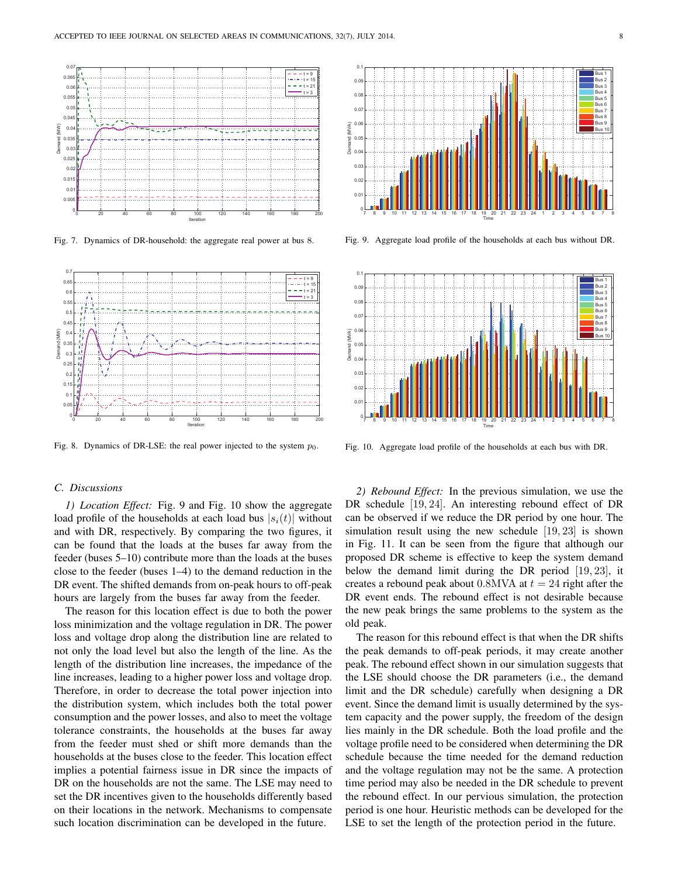

Fig. 7. Dynamics of DR-household: the aggregate real power at bus 8.



Fig. 8. Dynamics of DR-LSE: the real power injected to the system  $p_0$ .

# *C. Discussions*

*1) Location Effect:* Fig. 9 and Fig. 10 show the aggregate load profile of the households at each load bus  $|s_i(t)|$  without and with DR, respectively. By comparing the two figures, it can be found that the loads at the buses far away from the feeder (buses 5–10) contribute more than the loads at the buses close to the feeder (buses 1–4) to the demand reduction in the DR event. The shifted demands from on-peak hours to off-peak hours are largely from the buses far away from the feeder.

The reason for this location effect is due to both the power loss minimization and the voltage regulation in DR. The power loss and voltage drop along the distribution line are related to not only the load level but also the length of the line. As the length of the distribution line increases, the impedance of the line increases, leading to a higher power loss and voltage drop. Therefore, in order to decrease the total power injection into the distribution system, which includes both the total power consumption and the power losses, and also to meet the voltage tolerance constraints, the households at the buses far away from the feeder must shed or shift more demands than the households at the buses close to the feeder. This location effect implies a potential fairness issue in DR since the impacts of DR on the households are not the same. The LSE may need to set the DR incentives given to the households differently based on their locations in the network. Mechanisms to compensate such location discrimination can be developed in the future.



Fig. 9. Aggregate load profile of the households at each bus without DR.



Fig. 10. Aggregate load profile of the households at each bus with DR.

*2) Rebound Effect:* In the previous simulation, we use the DR schedule [19, 24]. An interesting rebound effect of DR can be observed if we reduce the DR period by one hour. The simulation result using the new schedule [19, 23] is shown in Fig. 11. It can be seen from the figure that although our proposed DR scheme is effective to keep the system demand below the demand limit during the DR period [19, 23], it creates a rebound peak about 0.8MVA at  $t = 24$  right after the DR event ends. The rebound effect is not desirable because the new peak brings the same problems to the system as the old peak.

The reason for this rebound effect is that when the DR shifts the peak demands to off-peak periods, it may create another peak. The rebound effect shown in our simulation suggests that the LSE should choose the DR parameters (i.e., the demand limit and the DR schedule) carefully when designing a DR event. Since the demand limit is usually determined by the system capacity and the power supply, the freedom of the design lies mainly in the DR schedule. Both the load profile and the voltage profile need to be considered when determining the DR schedule because the time needed for the demand reduction and the voltage regulation may not be the same. A protection time period may also be needed in the DR schedule to prevent the rebound effect. In our pervious simulation, the protection period is one hour. Heuristic methods can be developed for the LSE to set the length of the protection period in the future.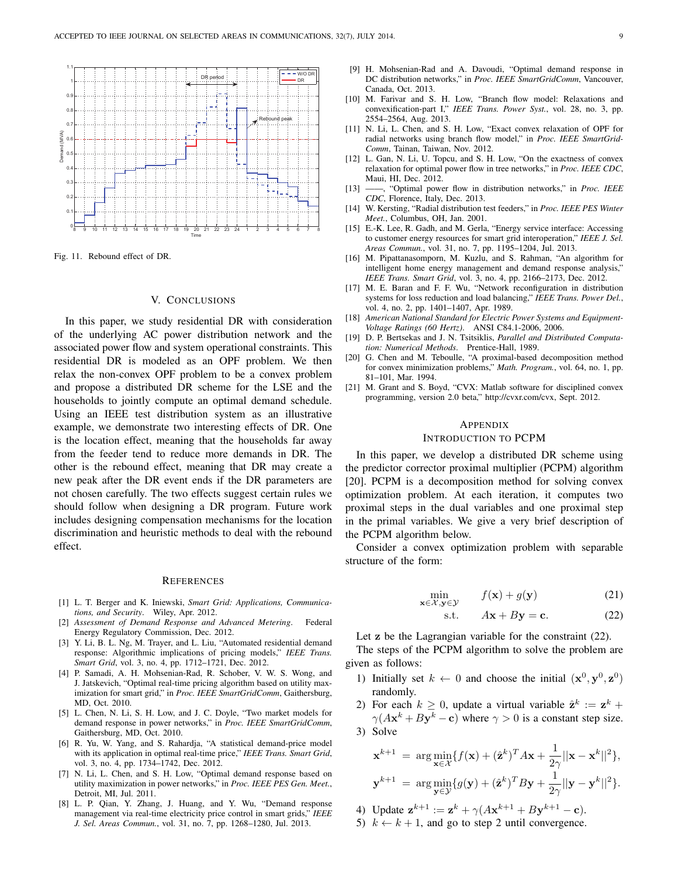

Fig. 11. Rebound effect of DR.

#### V. CONCLUSIONS

In this paper, we study residential DR with consideration of the underlying AC power distribution network and the associated power flow and system operational constraints. This residential DR is modeled as an OPF problem. We then relax the non-convex OPF problem to be a convex problem and propose a distributed DR scheme for the LSE and the households to jointly compute an optimal demand schedule. Using an IEEE test distribution system as an illustrative example, we demonstrate two interesting effects of DR. One is the location effect, meaning that the households far away from the feeder tend to reduce more demands in DR. The other is the rebound effect, meaning that DR may create a new peak after the DR event ends if the DR parameters are not chosen carefully. The two effects suggest certain rules we should follow when designing a DR program. Future work includes designing compensation mechanisms for the location discrimination and heuristic methods to deal with the rebound effect.

## **REFERENCES**

- [1] L. T. Berger and K. Iniewski, *Smart Grid: Applications, Communications, and Security*. Wiley, Apr. 2012.
- [2] *Assessment of Demand Response and Advanced Metering*. Federal Energy Regulatory Commission, Dec. 2012.
- [3] Y. Li, B. L. Ng, M. Trayer, and L. Liu, "Automated residential demand response: Algorithmic implications of pricing models," *IEEE Trans. Smart Grid*, vol. 3, no. 4, pp. 1712–1721, Dec. 2012.
- [4] P. Samadi, A. H. Mohsenian-Rad, R. Schober, V. W. S. Wong, and J. Jatskevich, "Optimal real-time pricing algorithm based on utility maximization for smart grid," in *Proc. IEEE SmartGridComm*, Gaithersburg, MD, Oct. 2010.
- [5] L. Chen, N. Li, S. H. Low, and J. C. Doyle, "Two market models for demand response in power networks," in *Proc. IEEE SmartGridComm*, Gaithersburg, MD, Oct. 2010.
- [6] R. Yu, W. Yang, and S. Rahardja, "A statistical demand-price model with its application in optimal real-time price," *IEEE Trans. Smart Grid*, vol. 3, no. 4, pp. 1734–1742, Dec. 2012.
- [7] N. Li, L. Chen, and S. H. Low, "Optimal demand response based on utility maximization in power networks," in *Proc. IEEE PES Gen. Meet.*, Detroit, MI, Jul. 2011.
- [8] L. P. Qian, Y. Zhang, J. Huang, and Y. Wu, "Demand response management via real-time electricity price control in smart grids," *IEEE J. Sel. Areas Commun.*, vol. 31, no. 7, pp. 1268–1280, Jul. 2013.
- [9] H. Mohsenian-Rad and A. Davoudi, "Optimal demand response in DC distribution networks," in *Proc. IEEE SmartGridComm*, Vancouver, Canada, Oct. 2013.
- [10] M. Farivar and S. H. Low, "Branch flow model: Relaxations and convexification-part I," *IEEE Trans. Power Syst.*, vol. 28, no. 3, pp. 2554–2564, Aug. 2013.
- [11] N. Li, L. Chen, and S. H. Low, "Exact convex relaxation of OPF for radial networks using branch flow model," in *Proc. IEEE SmartGrid-Comm*, Tainan, Taiwan, Nov. 2012.
- [12] L. Gan, N. Li, U. Topcu, and S. H. Low, "On the exactness of convex relaxation for optimal power flow in tree networks," in *Proc. IEEE CDC*, Maui, HI, Dec. 2012.
- [13] ——, "Optimal power flow in distribution networks," in *Proc. IEEE CDC*, Florence, Italy, Dec. 2013.
- [14] W. Kersting, "Radial distribution test feeders," in *Proc. IEEE PES Winter Meet.*, Columbus, OH, Jan. 2001.
- [15] E.-K. Lee, R. Gadh, and M. Gerla, "Energy service interface: Accessing to customer energy resources for smart grid interoperation," *IEEE J. Sel. Areas Commun.*, vol. 31, no. 7, pp. 1195–1204, Jul. 2013.
- [16] M. Pipattanasomporn, M. Kuzlu, and S. Rahman, "An algorithm for intelligent home energy management and demand response analysis," *IEEE Trans. Smart Grid*, vol. 3, no. 4, pp. 2166–2173, Dec. 2012.
- [17] M. E. Baran and F. F. Wu, "Network reconfiguration in distribution systems for loss reduction and load balancing," *IEEE Trans. Power Del.*, vol. 4, no. 2, pp. 1401–1407, Apr. 1989.
- [18] *American National Standard for Electric Power Systems and Equipment-Voltage Ratings (60 Hertz)*. ANSI C84.1-2006, 2006.
- [19] D. P. Bertsekas and J. N. Tsitsiklis, *Parallel and Distributed Computation: Numerical Methods*. Prentice-Hall, 1989.
- [20] G. Chen and M. Teboulle, "A proximal-based decomposition method for convex minimization problems," *Math. Program.*, vol. 64, no. 1, pp. 81–101, Mar. 1994.
- [21] M. Grant and S. Boyd, "CVX: Matlab software for disciplined convex programming, version 2.0 beta," http://cvxr.com/cvx, Sept. 2012.

#### APPENDIX

# INTRODUCTION TO PCPM

In this paper, we develop a distributed DR scheme using the predictor corrector proximal multiplier (PCPM) algorithm [20]. PCPM is a decomposition method for solving convex optimization problem. At each iteration, it computes two proximal steps in the dual variables and one proximal step in the primal variables. We give a very brief description of the PCPM algorithm below.

Consider a convex optimization problem with separable structure of the form:

$$
\min_{\mathbf{x} \in \mathcal{X}, \mathbf{y} \in \mathcal{Y}} f(\mathbf{x}) + g(\mathbf{y})
$$
\n(21)

$$
s.t. \tAx + By = c. \t(22)
$$

Let **z** be the Lagrangian variable for the constraint (22).

The steps of the PCPM algorithm to solve the problem are given as follows:

- 1) Initially set  $k \leftarrow 0$  and choose the initial  $(\mathbf{x}^0, \mathbf{y}^0, \mathbf{z}^0)$ randomly.
- 2) For each  $k \geq 0$ , update a virtual variable  $\hat{\mathbf{z}}^k := \mathbf{z}^k + \hat{\mathbf{z}}^k$  $\gamma(A\mathbf{x}^k + B\mathbf{y}^k - \mathbf{c})$  where  $\gamma > 0$  is a constant step size. 3) Solve

$$
\mathbf{x}^{k+1} = \arg\min_{\mathbf{x}\in\mathcal{X}} \{f(\mathbf{x}) + (\hat{\mathbf{z}}^k)^T A \mathbf{x} + \frac{1}{2\gamma} ||\mathbf{x} - \mathbf{x}^k||^2\},
$$
  

$$
\mathbf{y}^{k+1} = \arg\min_{\mathbf{y}\in\mathcal{Y}} \{g(\mathbf{y}) + (\hat{\mathbf{z}}^k)^T B \mathbf{y} + \frac{1}{2\gamma} ||\mathbf{y} - \mathbf{y}^k||^2\}.
$$

- 4) Update  $z^{k+1} := z^k + \gamma (Ax^{k+1} + By^{k+1} c)$ .
- 5)  $k \leftarrow k + 1$ , and go to step 2 until convergence.